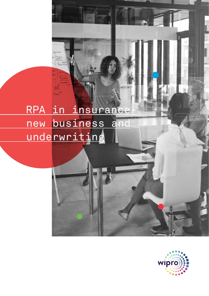# RPA in insurance new business and underwriting

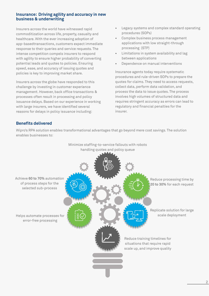## **Insurance: Driving agility and accuracy in new business & underwriting**

Insurers across the world have witnessed rapid commoditization across life, property, casualty and healthcare. With the ever increasing adoption of app-basedtransactions, customers expect immediate response to their queries and service requests. The intense competition compels insurers to respond with agility to ensure higher probability of converting potential leads and quotes to policies. Ensuring speed, ease, and accuracy of issuing quotes and policies is key to improving market share.

Insurers across the globe have responded to this challenge by investing in customer experience management. However, back office transactions & processes often result in processing and policy issuance delays. Based on our experience in working with large insurers, we have identified several reasons for delays in policy issuance including:

- Legacy systems and complex standard operating procedures (SOPs)
- Complex business process management applications with low straight-through processing (STP)
- Limitations in system availability and lag between applications
- Dependence on manual interventions

Insurance agents today require systematic procedures and rule-driven SOPs to prepare the quotes for claims. They need to access requests, collect data, perform data validation, and process the data to issue quotes. The process involves high volumes of structured data and requires stringent accuracy as errors can lead to regulatory and financial penalties for the insurer.

# **Benefits delivered**

Wipro's RPA solution enables transformational advantages that go beyond mere cost savings. The solution enables businesses to:

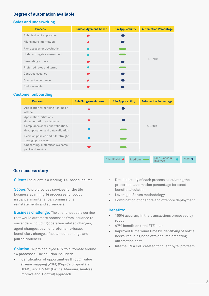# **Degree of automation available**

## **Sales and underwriting**

| <b>Process</b>               | <b>Rule/Judgement-based</b> | <b>RPA Applicability</b> | <b>Automation Percentage</b> |
|------------------------------|-----------------------------|--------------------------|------------------------------|
| Submission of application    | ★                           |                          |                              |
| Filling more information     | ★                           |                          |                              |
| Risk assessment/evaluation   |                             |                          |                              |
| Underwriting risk assessment |                             |                          |                              |
| Generating a quote           | ◆                           |                          | 60-70%                       |
| Preferred rates and terms    |                             |                          |                              |
| Contract issuance            | ◆                           |                          |                              |
| Contract acceptance          | ★                           |                          |                              |
| Endorsements                 |                             |                          |                              |

### **Customer onboarding**

| Application form filling / online or<br>offline                        |  |            |  |
|------------------------------------------------------------------------|--|------------|--|
|                                                                        |  |            |  |
| Application initiation /<br>documentation and checks                   |  |            |  |
| Compliance check and validation/<br>de-duplication and data validation |  | $50 - 60%$ |  |
| Decision policies and rule/straight-<br>through processing             |  |            |  |
| Onboarding/customized welcome<br>pack and service                      |  |            |  |

## **Our success story**

**Client:** The client is a leading U.S. based insurer.

**Scope:** Wipro provides services for the life business spanning **14** processes for policy issuance, maintenance, commissions, reinstatements and surrenders.

**Business challenge:** The client needed a service that would automate processes from issuance to surrenders including operation related changes, agent changes, payment returns, re-issue, beneficiary changes, face amount change and journal vouchers.

**Solution:** Wipro deployed RPA to automate around **14 processes**. The solution included:

Identification of opportunities through value stream mapping (VSM) (Wipro's proprietary BPMS) and DMAIC (Define, Measure, Analyse, Improve and Control) approach

- Detailed study of each process calculating the prescribed automation percentage for exact benefit calculation
- Leveraged Scrum methodology
- Combination of onshore and offshore deployment

#### **Benefits:**

- **100%** accuracy in the transactions processed by robot
- **47%** benefit on total FTE span
- Improved turnaround time by identifying of bottle necks, reducing hand offs and implementing automation best
- Internal RPA CoE created for client by Wipro team